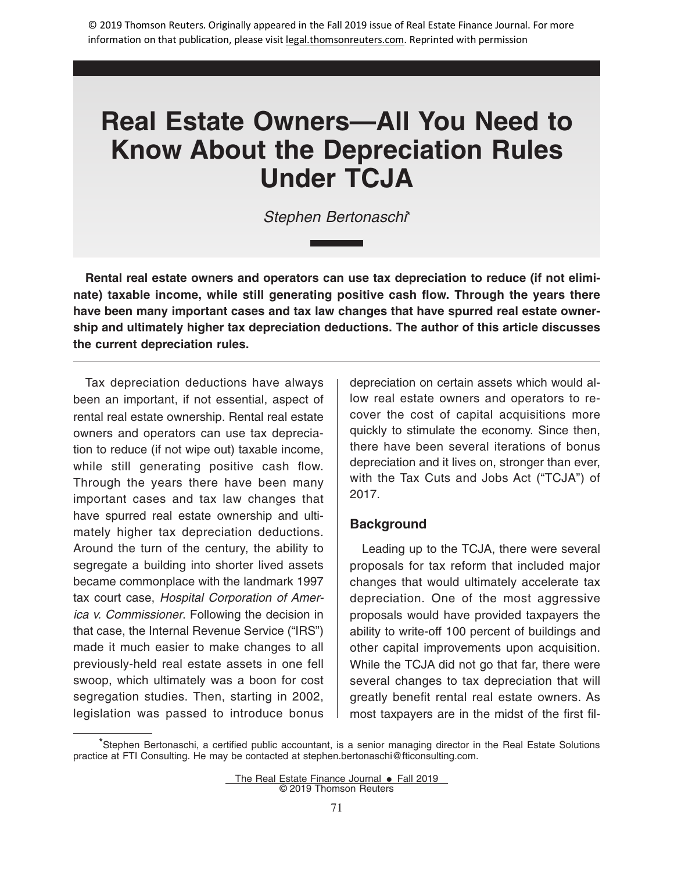# **Real Estate Owners—All You Need to Know About the Depreciation Rules Under TCJA**

Stephen Bertonaschi**\***

**Rental real estate owners and operators can use tax depreciation to reduce (if not eliminate) taxable income, while still generating positive cash flow. Through the years there have been many important cases and tax law changes that have spurred real estate ownership and ultimately higher tax depreciation deductions. The author of this article discusses the current depreciation rules.**

Tax depreciation deductions have always been an important, if not essential, aspect of rental real estate ownership. Rental real estate owners and operators can use tax depreciation to reduce (if not wipe out) taxable income, while still generating positive cash flow. Through the years there have been many important cases and tax law changes that have spurred real estate ownership and ultimately higher tax depreciation deductions. Around the turn of the century, the ability to segregate a building into shorter lived assets became commonplace with the landmark 1997 tax court case, Hospital Corporation of America v. Commissioner. Following the decision in that case, the Internal Revenue Service ("IRS") made it much easier to make changes to all previously-held real estate assets in one fell swoop, which ultimately was a boon for cost segregation studies. Then, starting in 2002, legislation was passed to introduce bonus

depreciation on certain assets which would allow real estate owners and operators to recover the cost of capital acquisitions more quickly to stimulate the economy. Since then, there have been several iterations of bonus depreciation and it lives on, stronger than ever, with the Tax Cuts and Jobs Act ("TCJA") of 2017.

## **Background**

Leading up to the TCJA, there were several proposals for tax reform that included major changes that would ultimately accelerate tax depreciation. One of the most aggressive proposals would have provided taxpayers the ability to write-off 100 percent of buildings and other capital improvements upon acquisition. While the TCJA did not go that far, there were several changes to tax depreciation that will greatly benefit rental real estate owners. As most taxpayers are in the midst of the first fil-

**<sup>\*</sup>**Stephen Bertonaschi, a certified public accountant, is a senior managing director in the Real Estate Solutions practice at FTI Consulting. He may be contacted at stephen.bertonaschi@fticonsulting.com.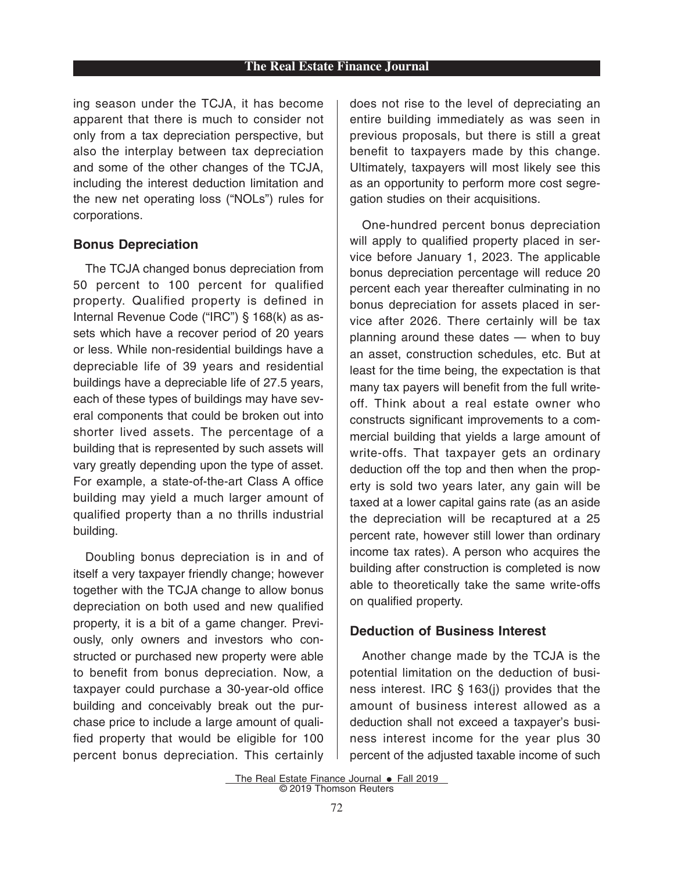ing season under the TCJA, it has become apparent that there is much to consider not only from a tax depreciation perspective, but also the interplay between tax depreciation and some of the other changes of the TCJA, including the interest deduction limitation and the new net operating loss ("NOLs") rules for corporations.

#### **Bonus Depreciation**

The TCJA changed bonus depreciation from 50 percent to 100 percent for qualified property. Qualified property is defined in Internal Revenue Code ("IRC") § 168(k) as assets which have a recover period of 20 years or less. While non-residential buildings have a depreciable life of 39 years and residential buildings have a depreciable life of 27.5 years, each of these types of buildings may have several components that could be broken out into shorter lived assets. The percentage of a building that is represented by such assets will vary greatly depending upon the type of asset. For example, a state-of-the-art Class A office building may yield a much larger amount of qualified property than a no thrills industrial building.

Doubling bonus depreciation is in and of itself a very taxpayer friendly change; however together with the TCJA change to allow bonus depreciation on both used and new qualified property, it is a bit of a game changer. Previously, only owners and investors who constructed or purchased new property were able to benefit from bonus depreciation. Now, a taxpayer could purchase a 30-year-old office building and conceivably break out the purchase price to include a large amount of qualified property that would be eligible for 100 percent bonus depreciation. This certainly

does not rise to the level of depreciating an entire building immediately as was seen in previous proposals, but there is still a great benefit to taxpayers made by this change. Ultimately, taxpayers will most likely see this as an opportunity to perform more cost segregation studies on their acquisitions.

One-hundred percent bonus depreciation will apply to qualified property placed in service before January 1, 2023. The applicable bonus depreciation percentage will reduce 20 percent each year thereafter culminating in no bonus depreciation for assets placed in service after 2026. There certainly will be tax planning around these dates — when to buy an asset, construction schedules, etc. But at least for the time being, the expectation is that many tax payers will benefit from the full writeoff. Think about a real estate owner who constructs significant improvements to a commercial building that yields a large amount of write-offs. That taxpayer gets an ordinary deduction off the top and then when the property is sold two years later, any gain will be taxed at a lower capital gains rate (as an aside the depreciation will be recaptured at a 25 percent rate, however still lower than ordinary income tax rates). A person who acquires the building after construction is completed is now able to theoretically take the same write-offs on qualified property.

## **Deduction of Business Interest**

Another change made by the TCJA is the potential limitation on the deduction of business interest. IRC § 163(j) provides that the amount of business interest allowed as a deduction shall not exceed a taxpayer's business interest income for the year plus 30 percent of the adjusted taxable income of such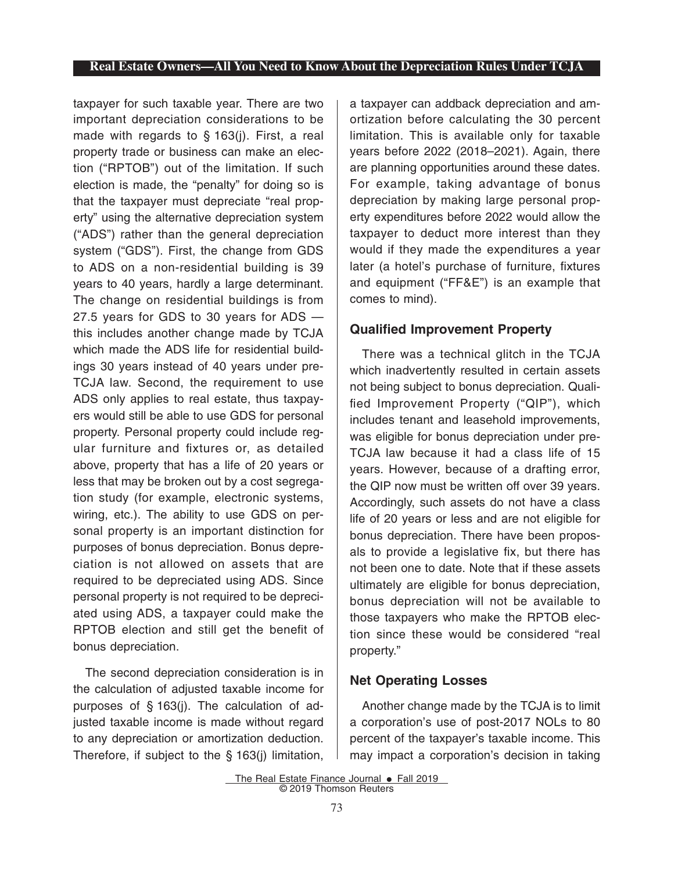## **Real Estate Owners—All You Need to Know About the Depreciation Rules Under TCJA**

taxpayer for such taxable year. There are two important depreciation considerations to be made with regards to § 163(j). First, a real property trade or business can make an election ("RPTOB") out of the limitation. If such election is made, the "penalty" for doing so is that the taxpayer must depreciate "real property" using the alternative depreciation system ("ADS") rather than the general depreciation system ("GDS"). First, the change from GDS to ADS on a non-residential building is 39 years to 40 years, hardly a large determinant. The change on residential buildings is from 27.5 years for GDS to 30 years for ADS this includes another change made by TCJA which made the ADS life for residential buildings 30 years instead of 40 years under pre-TCJA law. Second, the requirement to use ADS only applies to real estate, thus taxpayers would still be able to use GDS for personal property. Personal property could include regular furniture and fixtures or, as detailed above, property that has a life of 20 years or less that may be broken out by a cost segregation study (for example, electronic systems, wiring, etc.). The ability to use GDS on personal property is an important distinction for purposes of bonus depreciation. Bonus depreciation is not allowed on assets that are required to be depreciated using ADS. Since personal property is not required to be depreciated using ADS, a taxpayer could make the RPTOB election and still get the benefit of bonus depreciation.

The second depreciation consideration is in the calculation of adjusted taxable income for purposes of § 163(j). The calculation of adjusted taxable income is made without regard to any depreciation or amortization deduction. Therefore, if subject to the § 163(j) limitation,

a taxpayer can addback depreciation and amortization before calculating the 30 percent limitation. This is available only for taxable years before 2022 (2018–2021). Again, there are planning opportunities around these dates. For example, taking advantage of bonus depreciation by making large personal property expenditures before 2022 would allow the taxpayer to deduct more interest than they would if they made the expenditures a year later (a hotel's purchase of furniture, fixtures and equipment ("FF&E") is an example that comes to mind).

## **Qualified Improvement Property**

There was a technical glitch in the TCJA which inadvertently resulted in certain assets not being subject to bonus depreciation. Qualified Improvement Property ("QIP"), which includes tenant and leasehold improvements, was eligible for bonus depreciation under pre-TCJA law because it had a class life of 15 years. However, because of a drafting error, the QIP now must be written off over 39 years. Accordingly, such assets do not have a class life of 20 years or less and are not eligible for bonus depreciation. There have been proposals to provide a legislative fix, but there has not been one to date. Note that if these assets ultimately are eligible for bonus depreciation, bonus depreciation will not be available to those taxpayers who make the RPTOB election since these would be considered "real property."

# **Net Operating Losses**

Another change made by the TCJA is to limit a corporation's use of post-2017 NOLs to 80 percent of the taxpayer's taxable income. This may impact a corporation's decision in taking